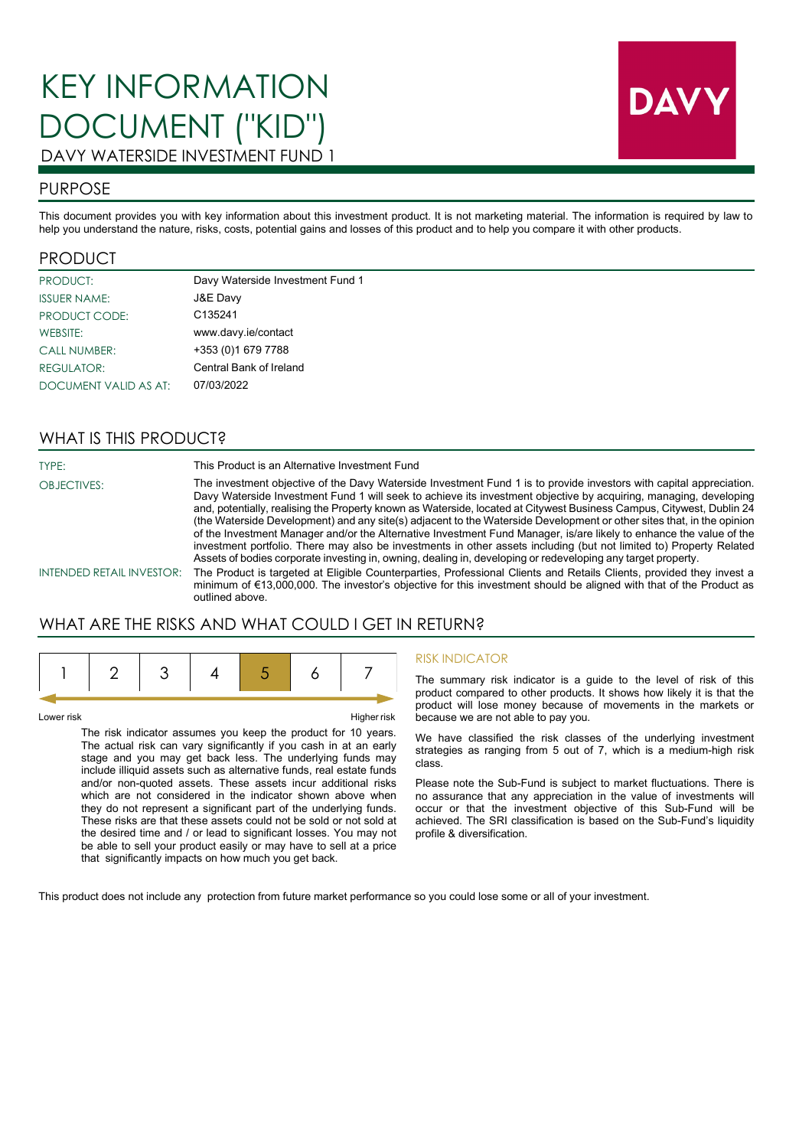

## PURPOSE

This document provides you with key information about this investment product. It is not marketing material. The information is required by law to help you understand the nature, risks, costs, potential gains and losses of this product and to help you compare it with other products.

### PRODUCT

| <b>PRODUCT:</b>       | Davy Waterside Investment Fund 1 |
|-----------------------|----------------------------------|
| <b>ISSUER NAME:</b>   | J&E Davy                         |
| <b>PRODUCT CODE:</b>  | C135241                          |
| <b>WEBSITE:</b>       | www.davy.ie/contact              |
| <b>CALL NUMBER:</b>   | +353 (0)1 679 7788               |
| <b>REGULATOR:</b>     | Central Bank of Ireland          |
| DOCUMENT VALID AS AT: | 07/03/2022                       |

## WHAT IS THIS PRODUCT?

OBJECTIVES:

TYPE: This Product is an Alternative Investment Fund

The investment objective of the Davy Waterside Investment Fund 1 is to provide investors with capital appreciation. Davy Waterside Investment Fund 1 will seek to achieve its investment objective by acquiring, managing, developing and, potentially, realising the Property known as Waterside, located at Citywest Business Campus, Citywest, Dublin 24 (the Waterside Development) and any site(s) adjacent to the Waterside Development or other sites that, in the opinion of the Investment Manager and/or the Alternative Investment Fund Manager, is/are likely to enhance the value of the investment portfolio. There may also be investments in other assets including (but not limited to) Property Related Assets of bodies corporate investing in, owning, dealing in, developing or redeveloping any target property.

INTENDED RETAIL INVESTOR: The Product is targeted at Eligible Counterparties, Professional Clients and Retails Clients, provided they invest a minimum of €13,000,000. The investor's objective for this investment should be aligned with that of the Product as outlined above.

# WHAT ARE THE RISKS AND WHAT COULD I GET IN RETURN?

Lower risk Higher risk

The risk indicator assumes you keep the product for 10 years. The actual risk can vary significantly if you cash in at an early stage and you may get back less. The underlying funds may include illiquid assets such as alternative funds, real estate funds and/or non-quoted assets. These assets incur additional risks which are not considered in the indicator shown above when they do not represent a significant part of the underlying funds. These risks are that these assets could not be sold or not sold at the desired time and / or lead to significant losses. You may not be able to sell your product easily or may have to sell at a price that significantly impacts on how much you get back.

#### RISK INDICATOR

The summary risk indicator is a guide to the level of risk of this product compared to other products. It shows how likely it is that the product will lose money because of movements in the markets or because we are not able to pay you.

We have classified the risk classes of the underlying investment strategies as ranging from 5 out of 7, which is a medium-high risk class.

Please note the Sub-Fund is subject to market fluctuations. There is no assurance that any appreciation in the value of investments will occur or that the investment objective of this Sub-Fund will be achieved. The SRI classification is based on the Sub-Fund's liquidity profile & diversification.

This product does not include any protection from future market performance so you could lose some or all of your investment.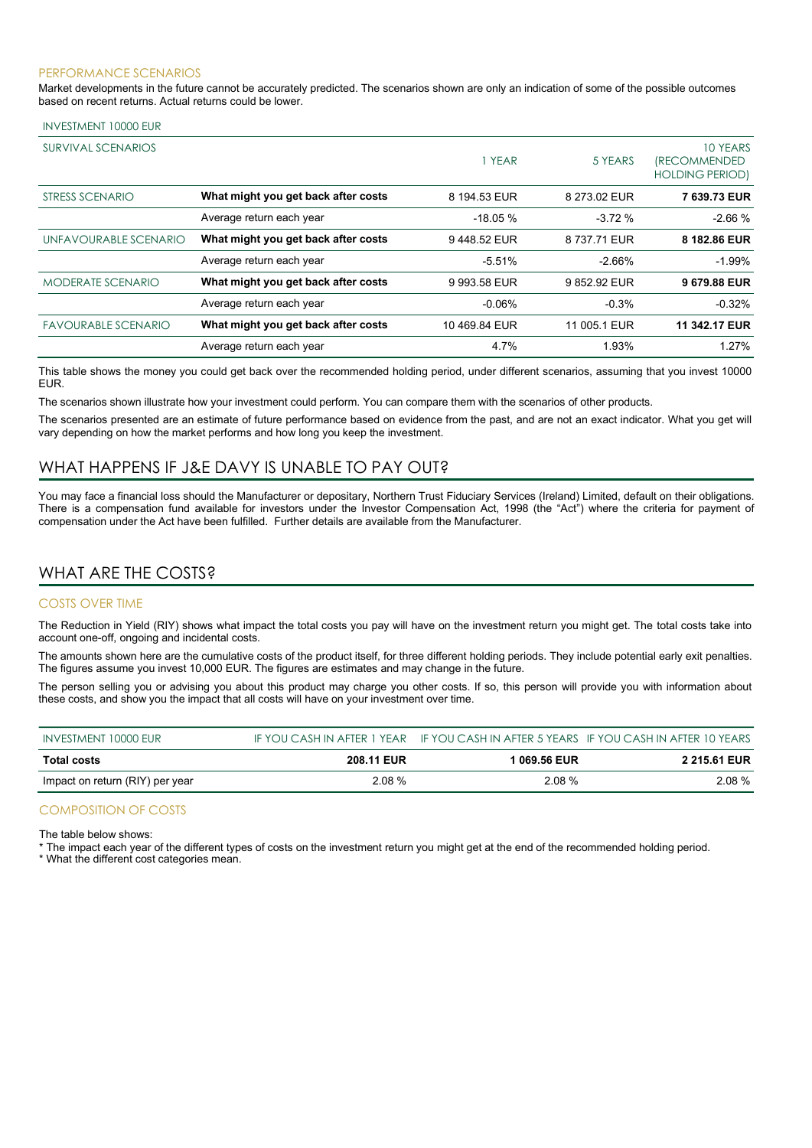#### PERFORMANCE SCENARIOS

Market developments in the future cannot be accurately predicted. The scenarios shown are only an indication of some of the possible outcomes based on recent returns. Actual returns could be lower.

| <b>SURVIVAL SCENARIOS</b>  |                                     | YEAR          | 5 YEARS      | 10 YEARS<br><i><b>IRECOMMENDED</b></i><br><b>HOLDING PERIOD)</b> |
|----------------------------|-------------------------------------|---------------|--------------|------------------------------------------------------------------|
| STRESS SCENARIO            | What might you get back after costs | 8 194.53 EUR  | 8 273.02 EUR | 7 639.73 EUR                                                     |
|                            | Average return each year            | $-18.05%$     | $-3.72%$     | $-2.66%$                                                         |
| UNFAVOURABLE SCENARIO      | What might you get back after costs | 9448.52 EUR   | 8 737.71 EUR | 8 182.86 EUR                                                     |
|                            | Average return each year            | $-5.51%$      | $-2.66%$     | $-1.99%$                                                         |
| <b>MODERATE SCENARIO</b>   | What might you get back after costs | 9 993.58 EUR  | 9852.92 EUR  | 9 679.88 EUR                                                     |
|                            | Average return each year            | $-0.06%$      | $-0.3%$      | $-0.32%$                                                         |
| <b>FAVOURABLE SCENARIO</b> | What might you get back after costs | 10 469.84 EUR | 11 005.1 EUR | 11 342.17 EUR                                                    |
|                            | Average return each year            | 4.7%          | 1.93%        | 1.27%                                                            |

This table shows the money you could get back over the recommended holding period, under different scenarios, assuming that you invest 10000 EUR.

The scenarios shown illustrate how your investment could perform. You can compare them with the scenarios of other products.

The scenarios presented are an estimate of future performance based on evidence from the past, and are not an exact indicator. What you get will vary depending on how the market performs and how long you keep the investment.

# WHAT HAPPENS IF J&E DAVY IS UNABLE TO PAY OUT?

You may face a financial loss should the Manufacturer or depositary, Northern Trust Fiduciary Services (Ireland) Limited, default on their obligations. There is a compensation fund available for investors under the Investor Compensation Act, 1998 (the "Act") where the criteria for payment of compensation under the Act have been fulfilled. Further details are available from the Manufacturer.

## WHAT ARE THE COSTS?

### COSTS OVER TIME

The Reduction in Yield (RIY) shows what impact the total costs you pay will have on the investment return you might get. The total costs take into account one-off, ongoing and incidental costs.

The amounts shown here are the cumulative costs of the product itself, for three different holding periods. They include potential early exit penalties. The figures assume you invest 10,000 EUR. The figures are estimates and may change in the future.

The person selling you or advising you about this product may charge you other costs. If so, this person will provide you with information about these costs, and show you the impact that all costs will have on your investment over time.

| INVESTMENT 10000 EUR            |                   |              | IF YOU CASH IN AFTER 1 YEAR IF YOU CASH IN AFTER 5 YEARS IF YOU CASH IN AFTER 10 YEARS |
|---------------------------------|-------------------|--------------|----------------------------------------------------------------------------------------|
| <b>Total costs</b>              | <b>208.11 EUR</b> | 1 069.56 EUR | <b>2 215.61 EUR</b>                                                                    |
| Impact on return (RIY) per year | 2.08%             | 2.08%        | $2.08\%$                                                                               |

#### COMPOSITION OF COSTS

The table below shows:

\* The impact each year of the different types of costs on the investment return you might get at the end of the recommended holding period.

\* What the different cost categories mean.